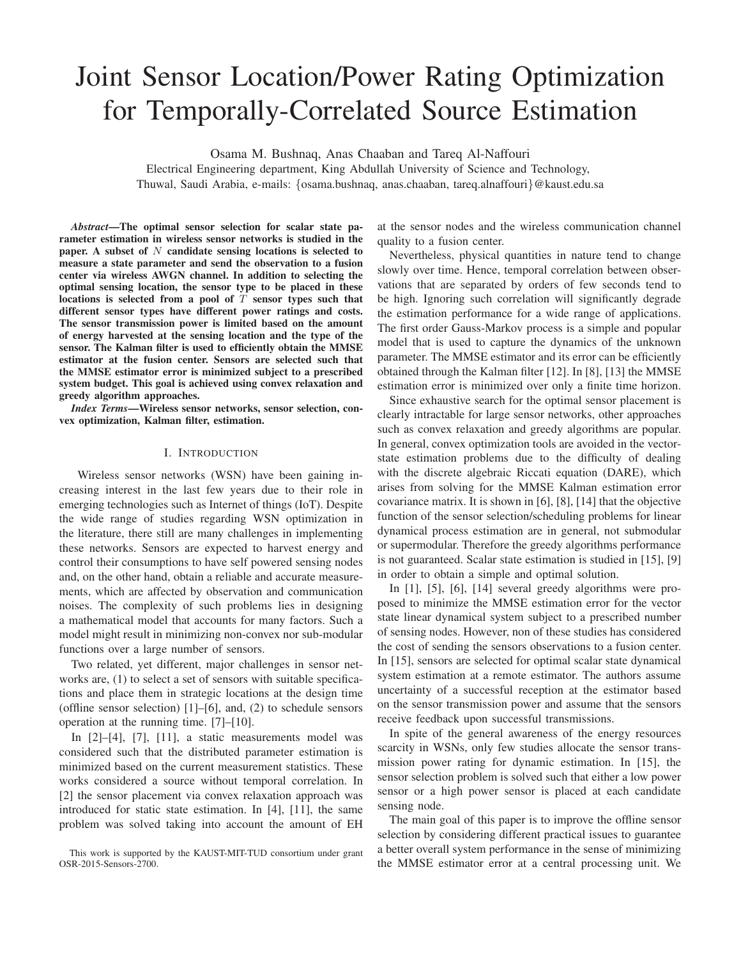# Joint Sensor Location/Power Rating Optimization for Temporally-Correlated Source Estimation

Osama M. Bushnaq, Anas Chaaban and Tareq Al-Naffouri

Electrical Engineering department, King Abdullah University of Science and Technology, Thuwal, Saudi Arabia, e-mails: {osama.bushnaq, anas.chaaban, tareq.alnaffouri}@kaust.edu.sa

*Abstract*—The optimal sensor selection for scalar state parameter estimation in wireless sensor networks is studied in the paper. A subset of  $N$  candidate sensing locations is selected to measure a state parameter and send the observation to a fusion center via wireless AWGN channel. In addition to selecting the optimal sensing location, the sensor type to be placed in these locations is selected from a pool of  $T$  sensor types such that different sensor types have different power ratings and costs. The sensor transmission power is limited based on the amount of energy harvested at the sensing location and the type of the sensor. The Kalman filter is used to efficiently obtain the MMSE estimator at the fusion center. Sensors are selected such that the MMSE estimator error is minimized subject to a prescribed system budget. This goal is achieved using convex relaxation and greedy algorithm approaches.

*Index Terms*—Wireless sensor networks, sensor selection, convex optimization, Kalman filter, estimation.

## I. INTRODUCTION

Wireless sensor networks (WSN) have been gaining increasing interest in the last few years due to their role in emerging technologies such as Internet of things (IoT). Despite the wide range of studies regarding WSN optimization in the literature, there still are many challenges in implementing these networks. Sensors are expected to harvest energy and control their consumptions to have self powered sensing nodes and, on the other hand, obtain a reliable and accurate measurements, which are affected by observation and communication noises. The complexity of such problems lies in designing a mathematical model that accounts for many factors. Such a model might result in minimizing non-convex nor sub-modular functions over a large number of sensors.

Two related, yet different, major challenges in sensor networks are, (1) to select a set of sensors with suitable specifications and place them in strategic locations at the design time (offline sensor selection) [1]–[6], and, (2) to schedule sensors operation at the running time. [7]–[10].

In  $[2]-[4]$ ,  $[7]$ ,  $[11]$ , a static measurements model was considered such that the distributed parameter estimation is minimized based on the current measurement statistics. These works considered a source without temporal correlation. In [2] the sensor placement via convex relaxation approach was introduced for static state estimation. In [4], [11], the same problem was solved taking into account the amount of EH at the sensor nodes and the wireless communication channel quality to a fusion center.

Nevertheless, physical quantities in nature tend to change slowly over time. Hence, temporal correlation between observations that are separated by orders of few seconds tend to be high. Ignoring such correlation will significantly degrade the estimation performance for a wide range of applications. The first order Gauss-Markov process is a simple and popular model that is used to capture the dynamics of the unknown parameter. The MMSE estimator and its error can be efficiently obtained through the Kalman filter [12]. In [8], [13] the MMSE estimation error is minimized over only a finite time horizon.

Since exhaustive search for the optimal sensor placement is clearly intractable for large sensor networks, other approaches such as convex relaxation and greedy algorithms are popular. In general, convex optimization tools are avoided in the vectorstate estimation problems due to the difficulty of dealing with the discrete algebraic Riccati equation (DARE), which arises from solving for the MMSE Kalman estimation error covariance matrix. It is shown in [6], [8], [14] that the objective function of the sensor selection/scheduling problems for linear dynamical process estimation are in general, not submodular or supermodular. Therefore the greedy algorithms performance is not guaranteed. Scalar state estimation is studied in [15], [9] in order to obtain a simple and optimal solution.

In [1], [5], [6], [14] several greedy algorithms were proposed to minimize the MMSE estimation error for the vector state linear dynamical system subject to a prescribed number of sensing nodes. However, non of these studies has considered the cost of sending the sensors observations to a fusion center. In [15], sensors are selected for optimal scalar state dynamical system estimation at a remote estimator. The authors assume uncertainty of a successful reception at the estimator based on the sensor transmission power and assume that the sensors receive feedback upon successful transmissions.

In spite of the general awareness of the energy resources scarcity in WSNs, only few studies allocate the sensor transmission power rating for dynamic estimation. In [15], the sensor selection problem is solved such that either a low power sensor or a high power sensor is placed at each candidate sensing node.

The main goal of this paper is to improve the offline sensor selection by considering different practical issues to guarantee a better overall system performance in the sense of minimizing the MMSE estimator error at a central processing unit. We

This work is supported by the KAUST-MIT-TUD consortium under grant OSR-2015-Sensors-2700.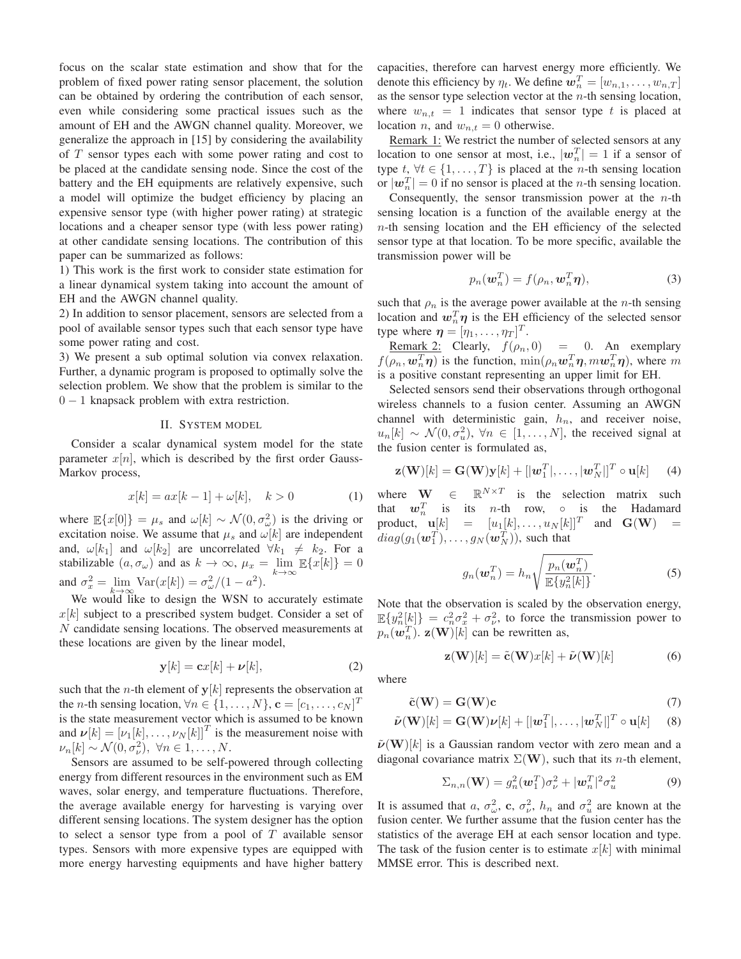focus on the scalar state estimation and show that for the problem of fixed power rating sensor placement, the solution can be obtained by ordering the contribution of each sensor, even while considering some practical issues such as the amount of EH and the AWGN channel quality. Moreover, we generalize the approach in [15] by considering the availability of  $T$  sensor types each with some power rating and cost to be placed at the candidate sensing node. Since the cost of the battery and the EH equipments are relatively expensive, such a model will optimize the budget efficiency by placing an expensive sensor type (with higher power rating) at strategic locations and a cheaper sensor type (with less power rating) at other candidate sensing locations. The contribution of this paper can be summarized as follows:

1) This work is the first work to consider state estimation for a linear dynamical system taking into account the amount of EH and the AWGN channel quality.

2) In addition to sensor placement, sensors are selected from a pool of available sensor types such that each sensor type have some power rating and cost.

3) We present a sub optimal solution via convex relaxation. Further, a dynamic program is proposed to optimally solve the selection problem. We show that the problem is similar to the 0 <sup>−</sup> 1 knapsack problem with extra restriction.

## II. SYSTEM MODEL

Consider a scalar dynamical system model for the state parameter  $x[n]$ , which is described by the first order Gauss-Markov process,

$$
x[k] = ax[k-1] + \omega[k], \quad k > 0
$$
 (1)

where  $\mathbb{E}\{x[0]\} = \mu_s$  and  $\omega[k] \sim \mathcal{N}(0, \sigma_{\omega}^2)$  is the driving or excitation noise. We assume that  $\mu_s$  and  $\omega[k]$  are independent excitation noise. We assume that  $\mu_s$  and  $\omega[k]$  are independent and,  $\omega[k_1]$  and  $\omega[k_2]$  are uncorrelated  $\forall k_1 \neq k_2$ . For a and,  $\omega[k_1]$  and  $\omega[k_2]$  are uncorrelated  $\forall k_1 \neq k_2$ . For a stabilizable  $(a, \sigma)$  and as  $k \to \infty$ ,  $\mu = \lim_{k \to \infty} \mathbb{E}[x[k_1] - 0]$ stabilizable  $(a, \sigma_{\omega})$  and as  $k \to \infty$ ,  $\mu_x = \lim_{k \to \infty} \mathbb{E}\{x[k]\} = 0$ <br>and  $\sigma_x^2 = \lim_{k \to \infty} \text{Var}(x[k]) = \sigma_{\omega}^2/(1 - a^2)$ .

We would like to design the WSN to accurately estimate  $x[k]$  subject to a prescribed system budget. Consider a set of N candidate sensing locations. The observed measurements at these locations are given by the linear model,

$$
\mathbf{y}[k] = \mathbf{c}x[k] + \boldsymbol{\nu}[k],\tag{2}
$$

such that the *n*-th element of  $y[k]$  represents the observation at the *n*-th sensing location,  $\forall n \in \{1, \ldots, N\}$ ,  $\mathbf{c} = [c_1, \ldots, c_N]^T$ <br>is the state measurement vector which is assumed to be known is the state measurement vector which is assumed to be known and  $v[k]=\left[v_1[k],\ldots,v_N[k]\right]^T$  is the measurement noise with  $\nu_n[k] \sim \mathcal{N}(0, \sigma_{\nu}^2), \ \forall n \in 1, \ldots, N.$ <br>Sensors are assumed to be self-r

Sensors are assumed to be self-powered through collecting energy from different resources in the environment such as EM waves, solar energy, and temperature fluctuations. Therefore, the average available energy for harvesting is varying over different sensing locations. The system designer has the option to select a sensor type from a pool of  $T$  available sensor types. Sensors with more expensive types are equipped with more energy harvesting equipments and have higher battery capacities, therefore can harvest energy more efficiently. We denote this efficiency by  $\eta_t$ . We define  $\mathbf{w}_n^T = [w_{n,1}, \dots, w_{n,T}]$ <br>as the sensor type selection vector at the *n*-th sensing location as the sensor type selection vector at the  $n$ -th sensing location, where  $w_{n,t} = 1$  indicates that sensor type t is placed at location *n*, and  $w_{n,t} = 0$  otherwise.

Remark 1: We restrict the number of selected sensors at any location to one sensor at most, i.e.,  $|w_n^T| = 1$  if a sensor of type  $t \forall t \in \{1, ..., T\}$  is placed at the *n*-th sensing location type  $t, \forall t \in \{1, \ldots, T\}$  is placed at the *n*-th sensing location or  $|\mathbf{w}_n^T| = 0$  if no sensor is placed at the *n*-th sensing location.<br>Consequently, the sensor transmission power at the *n*-th

Consequently, the sensor transmission power at the  $n$ -th sensing location is a function of the available energy at the  $n$ -th sensing location and the EH efficiency of the selected sensor type at that location. To be more specific, available the transmission power will be

$$
p_n(\boldsymbol{w}_n^T) = f(\rho_n, \boldsymbol{w}_n^T \boldsymbol{\eta}), \tag{3}
$$

such that  $\rho_n$  is the average power available at the *n*-th sensing location and  $w_{n}^{T}\eta$  is the EH efficiency of the selected sensor type where  $\boldsymbol{\eta} = [\eta_1, \dots, \eta_T]^T$ .<br>Remark 2: Clearly f(*o*)

Remark 2: Clearly,  $f(\rho_n, 0) = 0$ . An exemplary  $f(\rho_n, \mathbf{w}_n^T \boldsymbol{\eta})$  is the function,  $\min(\rho_n \mathbf{w}_n^T \boldsymbol{\eta}, m \mathbf{w}_n^T \boldsymbol{\eta})$ , where m<br>is a positive constant representing an upper limit for FH is a positive constant representing an upper limit for EH.

Selected sensors send their observations through orthogonal wireless channels to a fusion center. Assuming an AWGN channel with deterministic gain,  $h_n$ , and receiver noise,  $u_n[k] \sim \mathcal{N}(0, \sigma_u^2)$ ,  $\forall n \in [1, \ldots, N]$ , the received signal at the fusion center is formulated as the fusion center is formulated as,

$$
\mathbf{z}(\mathbf{W})[k] = \mathbf{G}(\mathbf{W})\mathbf{y}[k] + [|\mathbf{w}_1^T|, \dots, |\mathbf{w}_N^T|]^T \circ \mathbf{u}[k] \qquad (4)
$$

where  $W \in \mathbb{R}^{N \times T}$  is the selection matrix such that  $w_n^T$  is its *n*-th row,  $\circ$  is the Hadamard product,  $\mathbf{u}[k] = [u_1[k], \dots, u_N[k]]^T$  and  $\mathbf{G}(\mathbf{W}) = diag(a_1(\mathbf{u} \cdot \mathbf{u}^T))$  such that  $diag(g_1(\boldsymbol{w}_1^T),\ldots,g_N(\boldsymbol{w}_N^T)),$  such that

$$
g_n(\boldsymbol{w}_n^T) = h_n \sqrt{\frac{p_n(\boldsymbol{w}_n^T)}{\mathbb{E}\{y_n^2[k]\}}}.
$$
 (5)

Note that the observation is scaled by the observation energy,  $\mathbb{E}\{y_n^2[k]\} = c_n^2 \sigma_x^2 + \sigma_\nu^2$ , to force the transmission power to  $n_e(w^T) \propto \mathbf{W}$  [k] can be rewritten as  $p_n(\mathbf{w}_n^T)$ .  $\mathbf{z}(\mathbf{W})$ [k] can be rewritten as,

$$
\mathbf{z}(\mathbf{W})[k] = \tilde{\mathbf{c}}(\mathbf{W})x[k] + \tilde{\boldsymbol{\nu}}(\mathbf{W})[k] \tag{6}
$$

where

$$
\tilde{\mathbf{c}}(\mathbf{W}) = \mathbf{G}(\mathbf{W})\mathbf{c} \tag{7}
$$

$$
\tilde{\boldsymbol{\nu}}(\mathbf{W})[k] = \mathbf{G}(\mathbf{W})\boldsymbol{\nu}[k] + [|\boldsymbol{w}_1^T|, \dots, |\boldsymbol{w}_N^T|]^T \circ \mathbf{u}[k] \qquad (8)
$$

 $\tilde{\nu}(\mathbf{W})[k]$  is a Gaussian random vector with zero mean and a diagonal covariance matrix  $\Sigma(\mathbf{W})$ , such that its *n*-th element,

$$
\Sigma_{n,n}(\mathbf{W}) = g_n^2(\boldsymbol{w}_1^T)\sigma_\nu^2 + |\boldsymbol{w}_n^T|^2 \sigma_u^2 \tag{9}
$$

It is assumed that a,  $\sigma_{\omega}^2$ , c,  $\sigma_{\nu}^2$ ,  $h_n$  and  $\sigma_{\nu}^2$  are known at the fusion center. We further assume that the fusion center has the statistics of the average EH at each sensor location and type. The task of the fusion center is to estimate  $x[k]$  with minimal MMSE error. This is described next.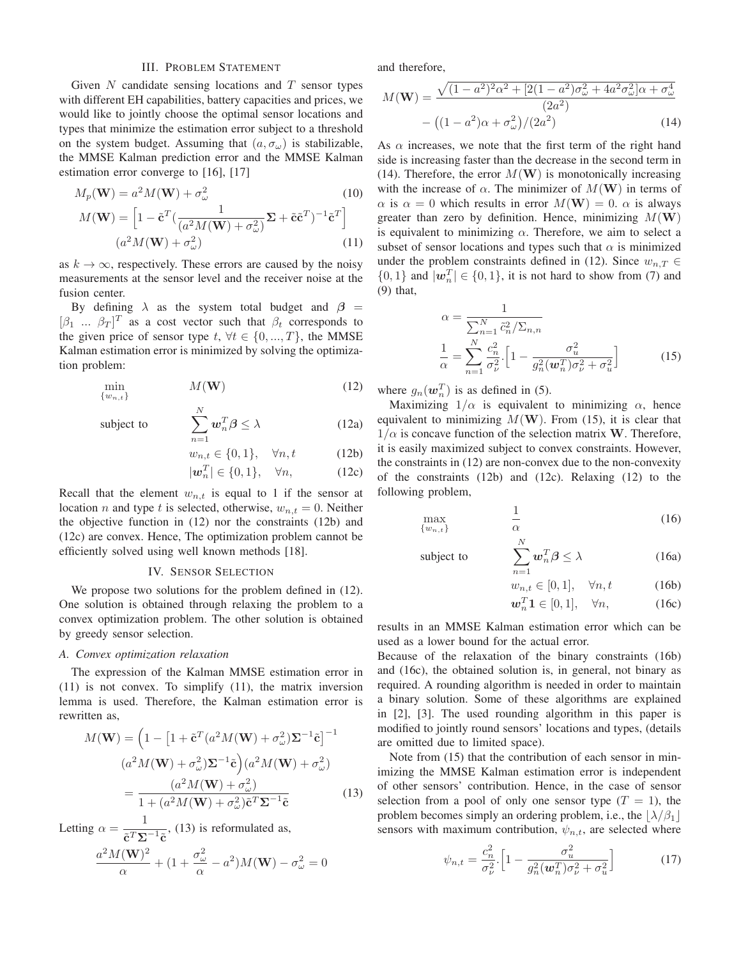## III. PROBLEM STATEMENT

Given  $N$  candidate sensing locations and  $T$  sensor types with different EH capabilities, battery capacities and prices, we would like to jointly choose the optimal sensor locations and types that minimize the estimation error subject to a threshold on the system budget. Assuming that  $(a, \sigma_{\omega})$  is stabilizable, the MMSE Kalman prediction error and the MMSE Kalman estimation error converge to [16], [17]

$$
M_p(\mathbf{W}) = a^2 M(\mathbf{W}) + \sigma_\omega^2
$$
(10)  

$$
M(\mathbf{W}) = \left[1 - \tilde{\mathbf{c}}^T \left(\frac{1}{(a^2 M(\mathbf{W}) + \sigma_\omega^2)} \mathbf{\Sigma} + \tilde{\mathbf{c}} \tilde{\mathbf{c}}^T\right)^{-1} \tilde{\mathbf{c}}^T\right]
$$

$$
(a^2 M(\mathbf{W}) + \sigma_\omega^2)
$$
(11)

as  $k \to \infty$ , respectively. These errors are caused by the noisy measurements at the sensor level and the receiver noise at the fusion center.

By defining  $\lambda$  as the system total budget and  $\beta$  =  $[\beta_1 \dots \beta_T]^T$  as a cost vector such that  $\beta_t$  corresponds to the given price of sensor type  $t \forall t \in \{0, T\}$  the MMSE the given price of sensor type  $t, \forall t \in \{0, ..., T\}$ , the MMSE Kalman estimation error is minimized by solving the optimization problem:

$$
\min_{\{w_{n,t}\}} \qquad \qquad M(\mathbf{W}) \tag{12}
$$

subject to  $\sum$ N  $n=1$  $w_n^T \beta \leq \lambda$  (12a)

$$
w_{n,t} \in \{0, 1\}, \quad \forall n, t \tag{12b}
$$

$$
|\boldsymbol{w}_n^T| \in \{0, 1\}, \quad \forall n,
$$
 (12c)

Recall that the element  $w_{n,t}$  is equal to 1 if the sensor at location *n* and type *t* is selected, otherwise,  $w_{n,t} = 0$ . Neither the objective function in (12) nor the constraints (12b) and (12c) are convex. Hence, The optimization problem cannot be efficiently solved using well known methods [18].

#### IV. SENSOR SELECTION

We propose two solutions for the problem defined in  $(12)$ . One solution is obtained through relaxing the problem to a convex optimization problem. The other solution is obtained by greedy sensor selection.

#### *A. Convex optimization relaxation*

The expression of the Kalman MMSE estimation error in (11) is not convex. To simplify (11), the matrix inversion lemma is used. Therefore, the Kalman estimation error is rewritten as,

$$
M(\mathbf{W}) = \left(1 - \left[1 + \tilde{\mathbf{c}}^T (a^2 M(\mathbf{W}) + \sigma_\omega^2) \Sigma^{-1} \tilde{\mathbf{c}}\right]^{-1} \right.
$$

$$
(a^2 M(\mathbf{W}) + \sigma_\omega^2) \Sigma^{-1} \tilde{\mathbf{c}}\right) (a^2 M(\mathbf{W}) + \sigma_\omega^2)
$$

$$
= \frac{(a^2 M(\mathbf{W}) + \sigma_\omega^2)}{1 + (a^2 M(\mathbf{W}) + \sigma_\omega^2) \tilde{\mathbf{c}}^T \Sigma^{-1} \tilde{\mathbf{c}}} \tag{13}
$$

Letting  $\alpha = \frac{1}{\tilde{c}^T \Sigma^{-1} \tilde{c}}$ , (13) is reformulated as,

$$
\frac{a^2 M(\mathbf{W})^2}{\alpha} + (1 + \frac{\sigma_\omega^2}{\alpha} - a^2)M(\mathbf{W}) - \sigma_\omega^2 = 0
$$

and therefore,

$$
M(\mathbf{W}) = \frac{\sqrt{(1-a^2)^2 \alpha^2 + [2(1-a^2)\sigma_{\omega}^2 + 4a^2 \sigma_{\omega}^2] \alpha + \sigma_{\omega}^4}}{(2a^2)}
$$

$$
-((1-a^2)\alpha + \sigma_{\omega}^2)/(2a^2)
$$
(14)

As  $\alpha$  increases, we note that the first term of the right hand side is increasing faster than the decrease in the second term in (14). Therefore, the error  $M(W)$  is monotonically increasing with the increase of  $\alpha$ . The minimizer of  $M(W)$  in terms of  $\alpha$  is  $\alpha = 0$  which results in error  $M(\mathbf{W})=0$ .  $\alpha$  is always greater than zero by definition. Hence, minimizing  $M(W)$ is equivalent to minimizing  $\alpha$ . Therefore, we aim to select a subset of sensor locations and types such that  $\alpha$  is minimized under the problem constraints defined in (12). Since  $w_{n,T} \in$  $\{0, 1\}$  and  $|\boldsymbol{w}_n^T| \in \{0, 1\}$ , it is not hard to show from (7) and (9) that (9) that,

$$
\alpha = \frac{1}{\sum_{n=1}^{N} \tilde{c}_n^2 / \Sigma_{n,n}}
$$

$$
\frac{1}{\alpha} = \sum_{n=1}^{N} \frac{c_n^2}{\sigma_{\nu}^2} \left[ 1 - \frac{\sigma_u^2}{g_n^2 (\boldsymbol{w}_n^T) \sigma_{\nu}^2 + \sigma_u^2} \right]
$$
(15)

where  $g_n(\boldsymbol{w}_n^T)$  is as defined in (5).<br>Maximizing  $1/\alpha$  is equivalent

Maximizing  $1/\alpha$  is equivalent to minimizing  $\alpha$ , hence equivalent to minimizing  $M(W)$ . From (15), it is clear that  $1/\alpha$  is concave function of the selection matrix **W**. Therefore, it is easily maximized subject to convex constraints. However, the constraints in (12) are non-convex due to the non-convexity of the constraints (12b) and (12c). Relaxing (12) to the following problem,

$$
\max_{\{w_{n,t}\}} \qquad \qquad \frac{1}{\alpha} \qquad \qquad (16)
$$

subject to  $\sum$  $n=1$  $w_n^T \beta \leq \lambda$  (16a)

$$
w_{n,t} \in [0,1], \quad \forall n, t \tag{16b}
$$

$$
\mathbf{v}_n^T \mathbf{1} \in [0, 1], \quad \forall n,
$$
 (16c)

results in an MMSE Kalman estimation error which can be used as a lower bound for the actual error.

 $\boldsymbol{v}$ 

Because of the relaxation of the binary constraints (16b) and (16c), the obtained solution is, in general, not binary as required. A rounding algorithm is needed in order to maintain a binary solution. Some of these algorithms are explained in [2], [3]. The used rounding algorithm in this paper is modified to jointly round sensors' locations and types, (details are omitted due to limited space).

Note from (15) that the contribution of each sensor in minimizing the MMSE Kalman estimation error is independent of other sensors' contribution. Hence, in the case of sensor selection from a pool of only one sensor type  $(T = 1)$ , the problem becomes simply an ordering problem, i.e., the  $\lfloor \lambda/\beta_1 \rfloor$ sensors with maximum contribution,  $\psi_{n,t}$ , are selected where

$$
\psi_{n,t} = \frac{c_n^2}{\sigma_\nu^2} \left[ 1 - \frac{\sigma_u^2}{g_n^2(\mathbf{w}_n^T)\sigma_\nu^2 + \sigma_u^2} \right] \tag{17}
$$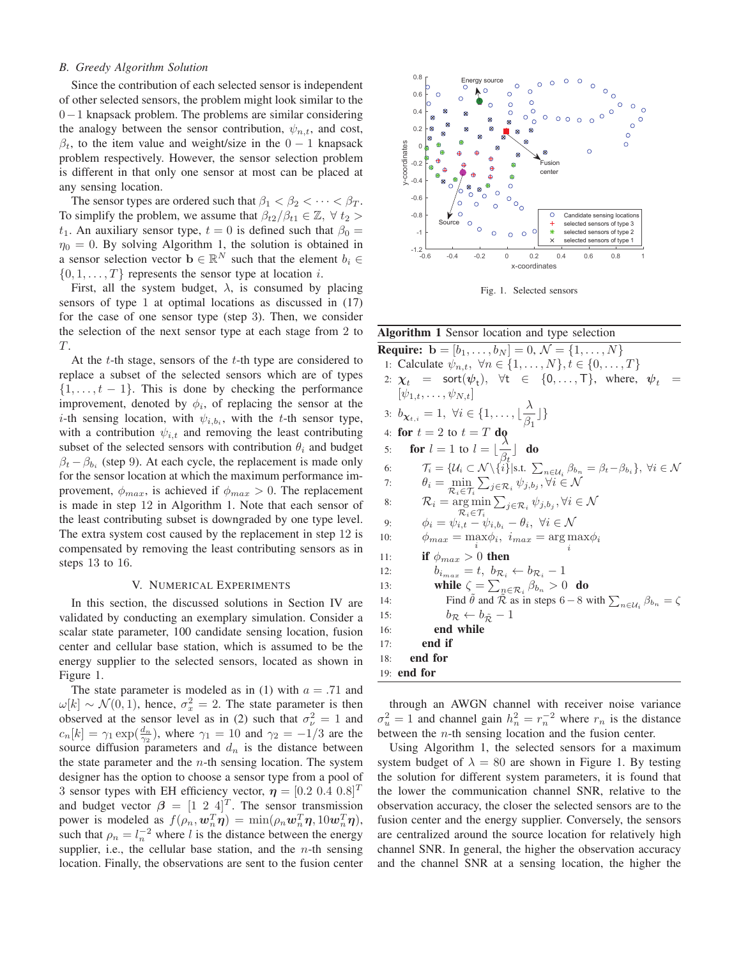## *B. Greedy Algorithm Solution*

Since the contribution of each selected sensor is independent of other selected sensors, the problem might look similar to the 0−1 knapsack problem. The problems are similar considering the analogy between the sensor contribution,  $\psi_{n,t}$ , and cost,  $\beta_t$ , to the item value and weight/size in the  $0 - 1$  knapsack problem respectively. However, the sensor selection problem is different in that only one sensor at most can be placed at any sensing location.

The sensor types are ordered such that  $\beta_1 < \beta_2 < \cdots < \beta_T$ . To simplify the problem, we assume that  $\beta_{t2}/\beta_{t1} \in \mathbb{Z}$ ,  $\forall t_2 >$ t<sub>1</sub>. An auxiliary sensor type,  $t = 0$  is defined such that  $\beta_0 =$  $\eta_0 = 0$ . By solving Algorithm 1, the solution is obtained in a sensor selection vector **b** ∈  $\mathbb{R}^N$  such that the element  $b_i$  ∈  $\{0, 1, \ldots, T\}$  represents the sensor type at location *i*.

First, all the system budget,  $\lambda$ , is consumed by placing sensors of type 1 at optimal locations as discussed in (17) for the case of one sensor type (step 3). Then, we consider the selection of the next sensor type at each stage from 2 to T.

At the  $t$ -th stage, sensors of the  $t$ -th type are considered to replace a subset of the selected sensors which are of types  $\{1,\ldots,t-1\}$ . This is done by checking the performance improvement, denoted by  $\phi_i$ , of replacing the sensor at the i-th sensing location, with  $\psi_{i,b_i}$ , with the t-th sensor type, with a contribution  $\psi_{i,t}$  and removing the least contributing subset of the selected sensors with contribution  $\theta_i$  and budget  $\beta_t - \beta_{b_i}$  (step 9). At each cycle, the replacement is made only for the sensor location at which the maximum performance improvement,  $\phi_{max}$ , is achieved if  $\phi_{max} > 0$ . The replacement is made in step 12 in Algorithm 1. Note that each sensor of the least contributing subset is downgraded by one type level. The extra system cost caused by the replacement in step 12 is compensated by removing the least contributing sensors as in steps 13 to 16.

### V. NUMERICAL EXPERIMENTS

In this section, the discussed solutions in Section IV are validated by conducting an exemplary simulation. Consider a scalar state parameter, 100 candidate sensing location, fusion center and cellular base station, which is assumed to be the energy supplier to the selected sensors, located as shown in Figure 1.

The state parameter is modeled as in (1) with  $a = .71$  and  $\omega[k] \sim \mathcal{N}(0, 1)$ , hence,  $\sigma_x^2 = 2$ . The state parameter is then observed at the sensor level as in (2) such that  $\sigma_1^2 = 1$  and observed at the sensor level as in (2) such that  $\sigma_v^2 = 1$  and  $\gamma_v = [k] = \gamma_v \exp(\frac{dn}{n})$  where  $\gamma_v = 10$  and  $\gamma_v = -1/3$  are the  $c_n[k] = \gamma_1 \exp(\frac{d_n}{\gamma_2})$ , where  $\gamma_1 = 10$  and  $\gamma_2 = -1/3$  are the source diffusion parameters and d is the distance between source diffusion parameters and  $d_n$  is the distance between the state parameter and the  $n$ -th sensing location. The system designer has the option to choose a sensor type from a pool of 3 sensor types with EH efficiency vector,  $\eta = [0.2 \ 0.4 \ 0.8]^T$ and budget vector  $\beta = \begin{bmatrix} 1 & 2 & 4 \end{bmatrix}^T$ . The sensor transmission power is modeled as  $f(\rho_n, \boldsymbol{w}_n^T \boldsymbol{\eta}) = \min(\rho_n \boldsymbol{w}_n^T \boldsymbol{\eta}, 10 \boldsymbol{w}_n^T \boldsymbol{\eta})$ ,<br>such that  $\rho_n = l^{-2}$  where *l* is the distance between the energy such that  $\rho_n = l_n^{-2}$  where l is the distance between the energy<br>supplier i.e., the cellular base station, and the n-th sensing supplier, i.e., the cellular base station, and the  $n$ -th sensing location. Finally, the observations are sent to the fusion center



Fig. 1. Selected sensors

| Algorithm 1 Sensor location and type selection                                                                                                                                          |
|-----------------------------------------------------------------------------------------------------------------------------------------------------------------------------------------|
| <b>Require:</b> $\mathbf{b} = [b_1, \dots, b_N] = 0, \, \mathcal{N} = \{1, \dots, N\}$                                                                                                  |
| 1: Calculate $\psi_{n,t}, \forall n \in \{1, , N\}, t \in \{0, , T\}$                                                                                                                   |
| 2: $\chi_t$ = sort $(\psi_t)$ , $\forall t \in \{0, , T\}$ , where, $\psi_t$                                                                                                            |
| $[\psi_{1,t},\ldots,\psi_{N,t}]$                                                                                                                                                        |
| 3: $b_{\boldsymbol{\chi}_{t,i}} = 1, \ \forall i \in \{1, \ldots, \lfloor \frac{\lambda}{\beta_i} \rfloor\}$                                                                            |
| 4: for $t = 2$ to $t = T$ dq                                                                                                                                                            |
| <b>for</b> $l = 1$ to $l = \lfloor \frac{n}{\beta} \rfloor$ <b>do</b><br>5:                                                                                                             |
| $\mathcal{T}_i = \{\mathcal{U}_i \subset \mathcal{N}\backslash \{i\}   \text{s.t. } \sum_{n\in \mathcal{U}_i} \beta_{b_n} = \beta_t - \beta_{b_i}\}, \ \forall i \in \mathcal{N}$<br>6: |
| $\theta_i = \min_{\mathcal{R}_i \in \mathcal{T}_i} \sum_{j \in \mathcal{R}_i} \psi_{j,b_j}, \forall i \in \mathcal{N}$<br>7:                                                            |
| $\mathcal{R}_i = \arg\min_{\mathcal{P}_i \in \mathcal{R}_i} \sum_{j \in \mathcal{R}_i} \psi_{j,b_j}, \forall i \in \mathcal{N}$<br>8:                                                   |
| $\phi_i = \psi_{i,t} - \psi_{i,b_i} - \theta_i, \ \forall i \in \mathcal{N}$<br>9:                                                                                                      |
| $\phi_{max} = \max_i \phi_i, i_{max} = \arg \max_i \phi_i$<br>10:                                                                                                                       |
| if $\phi_{max} > 0$ then<br>11:                                                                                                                                                         |
| $b_{i_{max}} = t$ , $b_{\mathcal{R}_i} \leftarrow b_{\mathcal{R}_i} - 1$<br>12:                                                                                                         |
| while $\zeta = \sum_{n \in \mathcal{R}_i} \beta_{b_n} > 0$ do<br>13:                                                                                                                    |
| Find $\theta$ and $\mathcal R$ as in steps 6 – 8 with $\sum_{n \in \mathcal U_i} \beta_{b_n} = \zeta$<br>14:                                                                            |
| $b_{\mathcal{R}} \leftarrow b_{\tilde{\mathcal{R}}} - 1$<br>15:                                                                                                                         |
| end while<br>16:                                                                                                                                                                        |
| end if<br>17:                                                                                                                                                                           |
| end for<br>18:                                                                                                                                                                          |
| $19:$ end for                                                                                                                                                                           |
|                                                                                                                                                                                         |

through an AWGN channel with receiver noise variance  $\sigma_u^2 = 1$  and channel gain  $h_n^2 = r_n^{-2}$  where  $r_n$  is the distance<br>hetween the n-th sensing location and the fusion center between the n-th sensing location and the fusion center.

Using Algorithm 1, the selected sensors for a maximum system budget of  $\lambda = 80$  are shown in Figure 1. By testing the solution for different system parameters, it is found that the lower the communication channel SNR, relative to the observation accuracy, the closer the selected sensors are to the fusion center and the energy supplier. Conversely, the sensors are centralized around the source location for relatively high channel SNR. In general, the higher the observation accuracy and the channel SNR at a sensing location, the higher the